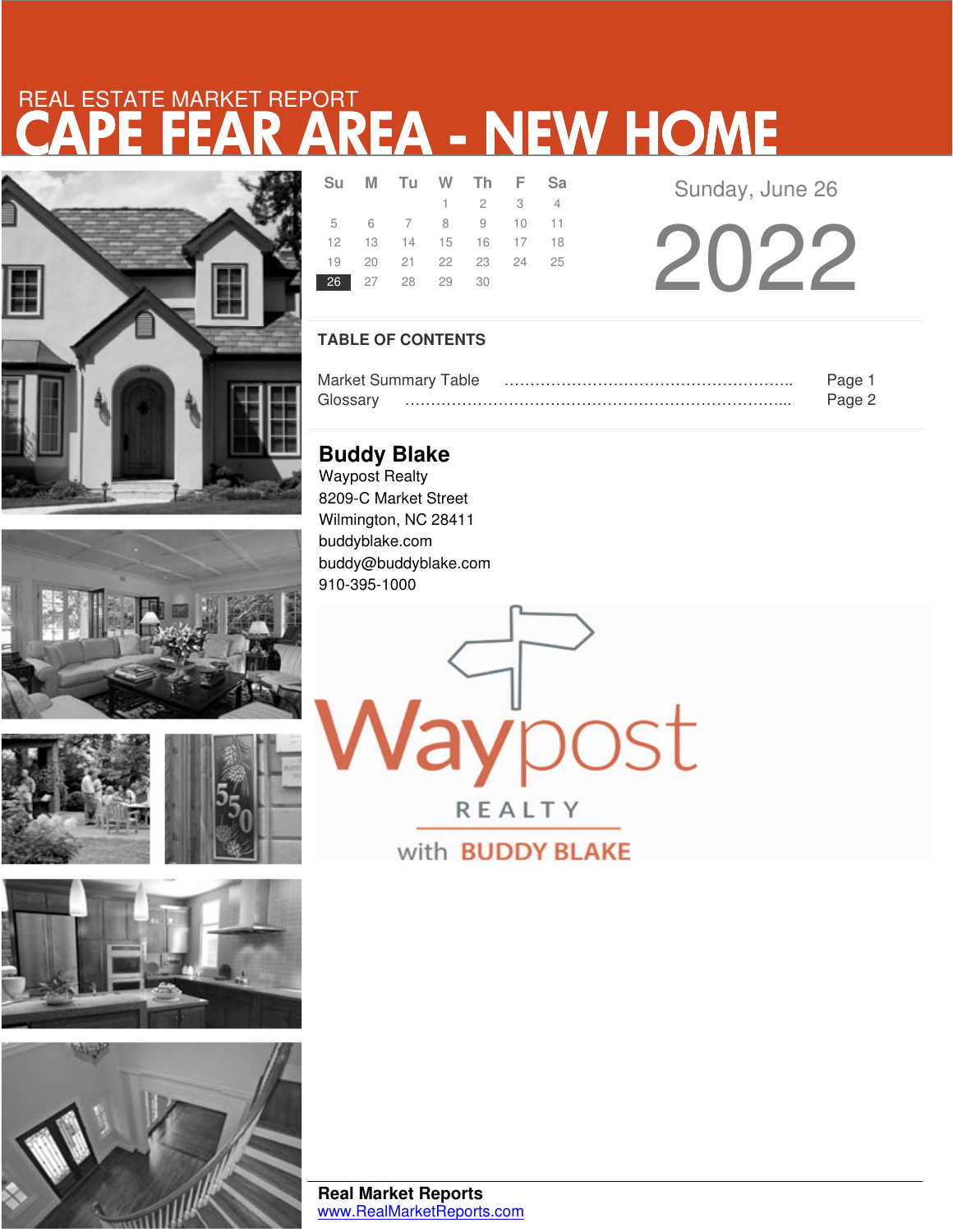# R AREA - NEW HOME REAL ESTATE MARKET REPORT









|  |  | 26 27 28 29 30 | Su M Tu W Th F Sa<br>$1 \quad 2 \quad 3 \quad 4$<br>5 6 7 8 9 10 11<br>12  13  14  15  16  17  18<br>19 20 21 22 23 24 25 |  |
|--|--|----------------|---------------------------------------------------------------------------------------------------------------------------|--|

Sunday, June 26

2022

### **TABLE OF CONTENTS**

|          | <b>Market Summary Table</b> | Page   |
|----------|-----------------------------|--------|
| Glossarv |                             | Page 2 |

**lay**post

REALTY

with **BUDDY BLAKE** 

**Buddy Blake** Waypost Realty 8209-C Market Street Wilmington, NC 28411 buddyblake.com buddy@buddyblake.com 910-395-1000

**Real Market Reports** www.RealMarketReports.com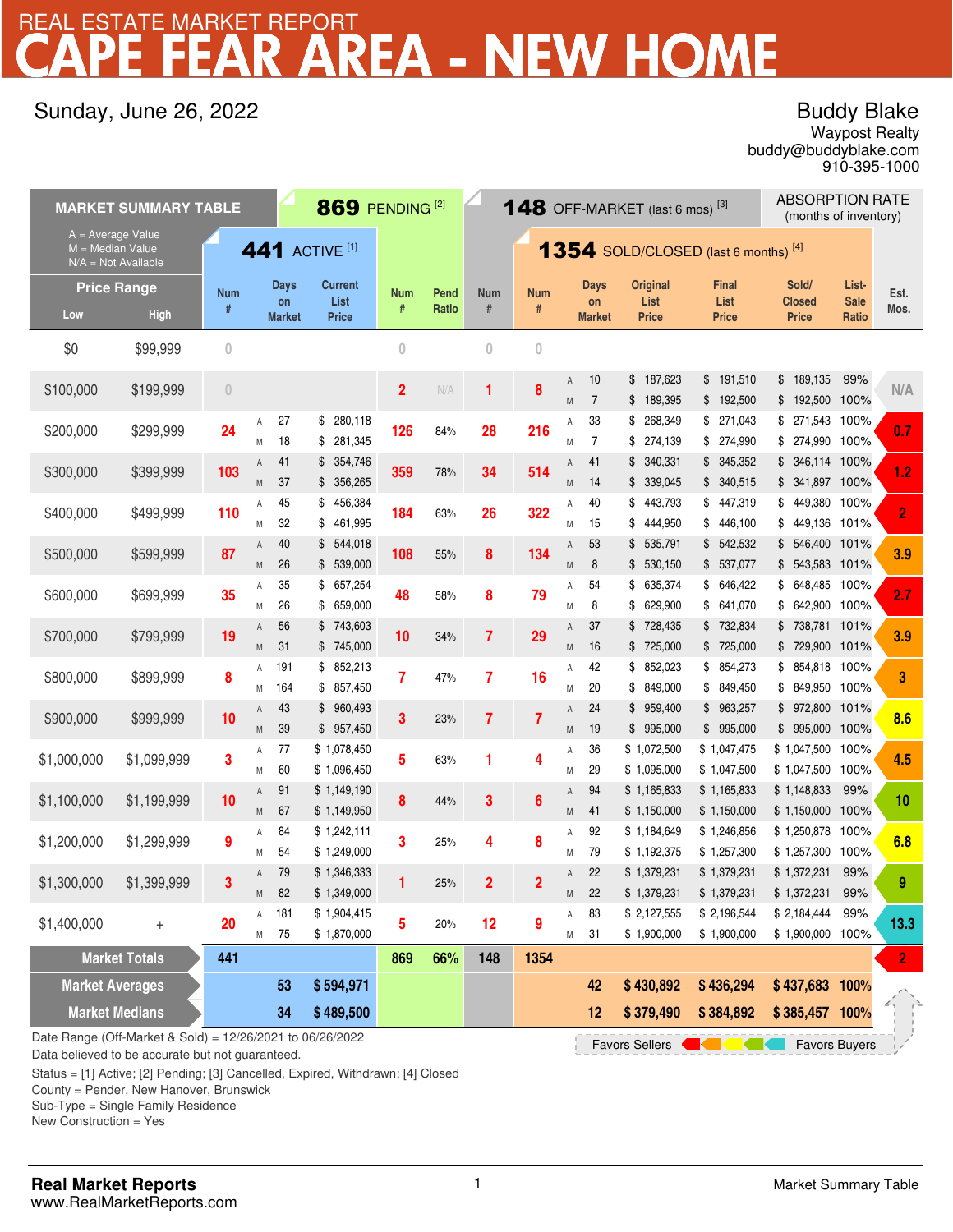# REA - NEW HOME REAL ESTATE MARKET REPORT

## Sunday, June 26, 2022

## Buddy Blake

buddy@buddyblake.com Waypost Realty 910-395-1000

| <b>MARKET SUMMARY TABLE</b>                                      |                                                                                                                                  |                |        |                     |                                  | 869 PENDING <sup>[2]</sup><br><b>148</b> OFF-MARKET (last 6 mos) <sup>[3]</sup> |       |                                               |                |        |                      | <b>ABSORPTION RATE</b><br>(months of inventory) |                            |                                |                      |                |
|------------------------------------------------------------------|----------------------------------------------------------------------------------------------------------------------------------|----------------|--------|---------------------|----------------------------------|---------------------------------------------------------------------------------|-------|-----------------------------------------------|----------------|--------|----------------------|-------------------------------------------------|----------------------------|--------------------------------|----------------------|----------------|
| A = Average Value<br>$M = Median Value$<br>$N/A = Not Available$ |                                                                                                                                  |                |        |                     | <b>441</b> ACTIVE <sup>[1]</sup> |                                                                                 |       | <b>1354</b> SOLD/CLOSED (last 6 months) $[4]$ |                |        |                      |                                                 |                            |                                |                      |                |
|                                                                  | <b>Price Range</b>                                                                                                               | <b>Num</b>     |        | <b>Days</b>         | <b>Current</b>                   | Num                                                                             | Pend  | Num                                           | <b>Num</b>     |        | Days                 | Original                                        | <b>Final</b>               | Sold/                          | List-                | Est.           |
| Low                                                              | <b>High</b>                                                                                                                      | #              |        | on<br><b>Market</b> | List<br><b>Price</b>             | #                                                                               | Ratio | $\#$                                          | #              |        | on<br><b>Market</b>  | List<br><b>Price</b>                            | List<br><b>Price</b>       | <b>Closed</b><br><b>Price</b>  | <b>Sale</b><br>Ratio | Mos.           |
| \$0                                                              | \$99,999                                                                                                                         | $\overline{0}$ |        |                     |                                  | $\overline{0}$                                                                  |       | $\overline{0}$                                | $\overline{0}$ |        |                      |                                                 |                            |                                |                      |                |
| \$100,000                                                        | \$199,999                                                                                                                        | $\theta$       |        |                     |                                  | 2                                                                               | N/A   | 1                                             | 8              | A<br>M | 10<br>$\overline{7}$ | \$<br>187,623<br>189,395<br>\$                  | \$191,510<br>\$192,500     | 189,135<br>\$<br>\$<br>192,500 | 99%<br>100%          | N/A            |
|                                                                  |                                                                                                                                  |                | Α      | 27                  | \$<br>280,118                    |                                                                                 |       |                                               |                | Α      | 33                   | 268,349<br>\$                                   | \$271,043                  | \$271,543                      | 100%                 |                |
| \$200,000                                                        | \$299,999                                                                                                                        | 24             | M      | 18                  | 281,345<br>\$                    | 126                                                                             | 84%   | 28                                            | 216            | M      | $\overline{7}$       | 274,139<br>\$                                   | \$ 274,990                 | \$274,990                      | 100%                 | 0.7            |
| \$300,000                                                        | \$399,999                                                                                                                        | 103            | Α      | 41<br>37            | \$354,746<br>\$356,265           | 359                                                                             | 78%   | 34                                            | 514            | Α      | 41                   | 340,331<br>\$<br>\$339,045                      | \$345,352<br>\$340,515     | \$346,114<br>\$341,897         | 100%<br>100%         | 1.2            |
|                                                                  |                                                                                                                                  |                | M<br>Α | 45                  | 456,384<br>\$                    |                                                                                 |       |                                               |                | M<br>Α | 14<br>40             | 443,793<br>\$                                   | \$447,319                  | \$<br>449,380                  | 100%                 |                |
| \$400,000                                                        | \$499,999                                                                                                                        | 110            | М      | 32                  | \$<br>461,995                    | 184                                                                             | 63%   | 26                                            | 322            | M      | 15                   | 444,950<br>\$                                   | \$446,100                  | 449,136<br>\$                  | 101%                 | 2              |
| \$500,000                                                        | \$599,999                                                                                                                        | 87             | A      | 40                  | \$544,018                        | 108                                                                             | 55%   | 8                                             | 134            | A      | 53                   | 535,791<br>\$                                   | \$542,532                  | \$<br>546,400                  | 101%                 | 3.9            |
|                                                                  |                                                                                                                                  |                | M      | 26                  | \$ 539,000                       |                                                                                 |       |                                               |                | M      | 8                    | \$530,150                                       | \$ 537,077<br>\$ 646,422   | $$543,583$ 101%                |                      |                |
| \$600,000                                                        | \$699,999                                                                                                                        | 35             | Α<br>M | 35<br>26            | 657,254<br>\$<br>659,000<br>\$   | 48                                                                              | 58%   | 8                                             | 79             | Α<br>M | 54<br>8              | 635,374<br>\$<br>629,900<br>\$                  | \$641,070                  | \$648,485<br>642,900<br>\$     | 100%<br>100%         | 2.7            |
|                                                                  |                                                                                                                                  |                | A      | 56                  | \$743,603                        |                                                                                 |       |                                               | 29             | A      | 37                   | 728,435<br>\$                                   | \$732,834                  | 738,781 101%<br>\$             |                      |                |
| \$700,000                                                        | \$799,999                                                                                                                        | 19             | M      | 31                  | \$745,000                        | 10                                                                              | 34%   | 7                                             |                | M      | 16                   | 725,000<br>\$                                   | \$ 725,000                 | \$729,900                      | 101%                 | 3.9            |
| \$800,000                                                        | \$899,999                                                                                                                        | 8              | Α      | 191                 | \$852,213                        | 7                                                                               | 47%   | 7                                             | 16             | Α      | 42                   | 852,023<br>\$                                   | \$854,273                  | \$854,818                      | 100%                 | 3              |
|                                                                  |                                                                                                                                  |                | M<br>A | 164<br>43           | \$857,450<br>\$960,493           |                                                                                 |       |                                               |                | M<br>A | 20<br>24             | 849,000<br>\$<br>959,400<br>\$                  | \$849,450<br>\$963,257     | \$ 849,950<br>\$972,800        | 100%<br>101%         |                |
| \$900,000                                                        | \$999,999                                                                                                                        | 10             | M      | 39                  | \$957,450                        | 3                                                                               | 23%   | $\overline{7}$                                | $\overline{7}$ | M      | 19                   | \$995,000                                       | \$995,000                  | \$995,000                      | 100%                 | 8.6            |
| \$1,000,000                                                      | \$1,099,999                                                                                                                      | 3              | Α      | 77                  | \$1,078,450                      | 5                                                                               | 63%   | 1                                             | 4              | Α      | 36                   | \$1,072,500                                     | \$1,047,475                | \$1,047,500                    | 100%                 | 4.5            |
|                                                                  |                                                                                                                                  |                | M      | 60                  | \$1,096,450                      |                                                                                 |       |                                               |                | Μ      | 29                   | \$1,095,000                                     | \$1,047,500                | \$1,047,500                    | 100%                 |                |
| \$1,100,000                                                      | \$1,199,999                                                                                                                      | 10             | Α      | 91                  | \$1,149,190                      | 8                                                                               | 44%   | 3                                             | 6              | Α      | 94                   | \$1,165,833                                     | \$1,165,833                | \$1,148,833                    | 99%                  | 10             |
|                                                                  |                                                                                                                                  |                | M<br>Α | 67<br>84            | \$1,149,950<br>\$1,242,111       |                                                                                 |       |                                               |                | M<br>Α | 41<br>92             | \$1,150,000<br>\$1,184,649                      | \$1,150,000<br>\$1,246,856 | \$1,150,000<br>\$1,250,878     | 100%<br>100%         |                |
| \$1,200,000                                                      | \$1,299,999                                                                                                                      | 9              | M      | 54                  | \$1,249,000                      | 3                                                                               | 25%   | 4                                             | 8              | M      | 79                   | \$1,192,375                                     | \$1,257,300                | \$1,257,300                    | 100%                 | 6.8            |
|                                                                  |                                                                                                                                  | 3              | Α      | 79                  | \$1,346,333                      |                                                                                 | 25%   | 2                                             | 2              | A      | 22                   | \$1,379,231                                     | \$1,379,231                | \$1,372,231                    | 99%                  | 9              |
| \$1,300,000                                                      | \$1,399,999                                                                                                                      |                | M      | 82                  | \$1,349,000                      |                                                                                 |       |                                               |                | M      | 22                   | \$1,379,231                                     | \$1,379,231                | \$1,372,231                    | 99%                  |                |
| \$1,400,000                                                      | $^{+}$                                                                                                                           | 20             | Α      | 181                 | \$1,904,415                      | 5                                                                               | 20%   | 12                                            | 9              | Α      | 83                   | \$2,127,555                                     | \$2,196,544                | \$2,184,444                    | 99%                  | $13.3$         |
|                                                                  | <b>Market Totals</b>                                                                                                             | 441            | M      | 75                  | \$1,870,000                      | 869                                                                             | 66%   | 148                                           | 1354           | M      | 31                   | \$1,900,000                                     | \$1,900,000                | \$1,900,000                    | 100%                 | 2 <sub>1</sub> |
| <b>Market Averages</b>                                           |                                                                                                                                  |                |        | 53                  | \$594,971                        |                                                                                 |       |                                               |                |        | 42                   | \$430,892                                       | \$436,294                  | \$437,683 100%                 |                      |                |
|                                                                  |                                                                                                                                  |                |        | 34                  | \$489,500                        |                                                                                 |       |                                               |                |        | 12                   | \$379,490                                       | \$384,892                  | \$385,457 100%                 |                      |                |
| <b>Market Medians</b>                                            |                                                                                                                                  |                |        |                     |                                  |                                                                                 |       |                                               |                |        |                      |                                                 |                            |                                |                      |                |
|                                                                  | Date Range (Off-Market & Sold) = 12/26/2021 to 06/26/2022<br><b>Favors Sellers</b><br><b>Favors Buyers</b><br><b>Kata Career</b> |                |        |                     |                                  |                                                                                 |       |                                               |                |        |                      |                                                 |                            |                                |                      |                |

Data believed to be accurate but not guaranteed.

Status = [1] Active; [2] Pending; [3] Cancelled, Expired, Withdrawn; [4] Closed

County = Pender, New Hanover, Brunswick

Sub-Type = Single Family Residence

New Construction = Yes